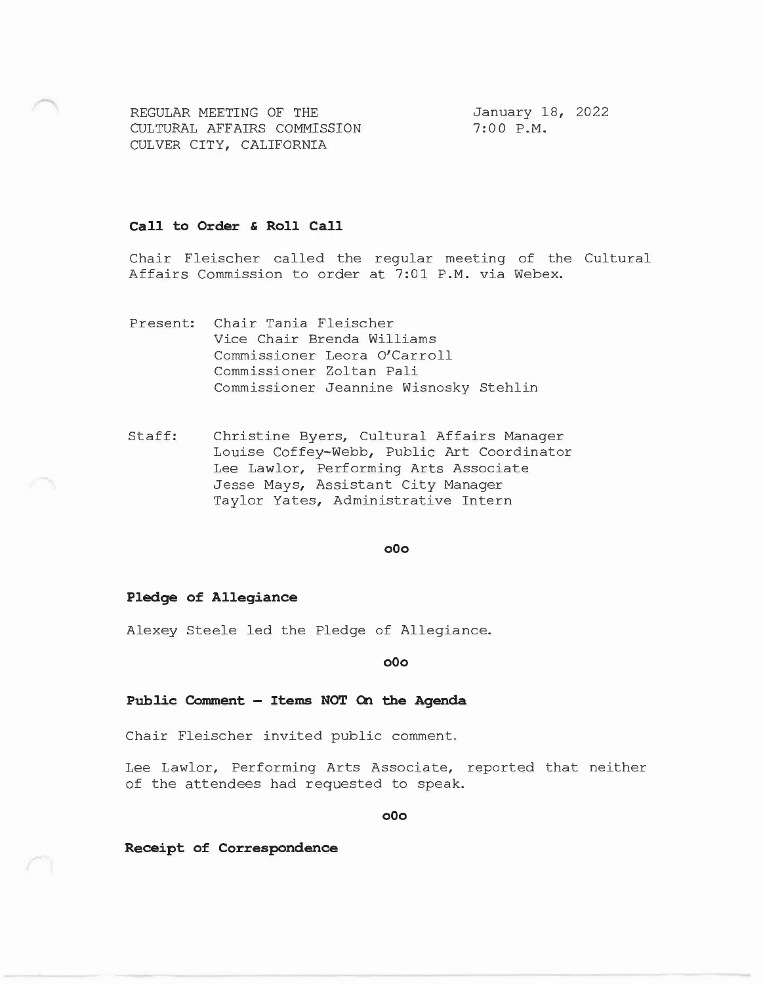REGULAR MEETING OF THE CULTURAL AFFAIRS COMMISSION CULVER CITY, CALIFORNIA

January 18, 2022 7:00 P.M.

### **Call to Order & Roll Call**

Chair Fleischer called the regular meeting of the Cultural Affairs Commission to order at 7:01 P.M. via Webex.

Present: Chair Tania Fleischer Vice Chair Brenda Williams Commissioner Leora O'Carroll Commissioner Zoltan Pali Commissioner Jeannine Wisnosky Stehlin

Staff: Christine Byers, Cultural Affairs Manager Louise Coffey-Webb, Public Art Coordinator Lee Lawlor, Performing Arts Associate Jesse Mays, Assistant City Manager Taylor Yates, Administrative Intern

## **oOo**

# **Pledge of Allegiance**

Alexey Steele led the Pledge of Allegiance.

**oOo** 

#### **Public Comment - Items NOT On the Agenda**

Chair Fleischer invited public comment.

Lee Lawlor, Performing Arts Associate, reported that neither of the attendees had requested to speak.

**oOo** 

**Receipt of Correspondence**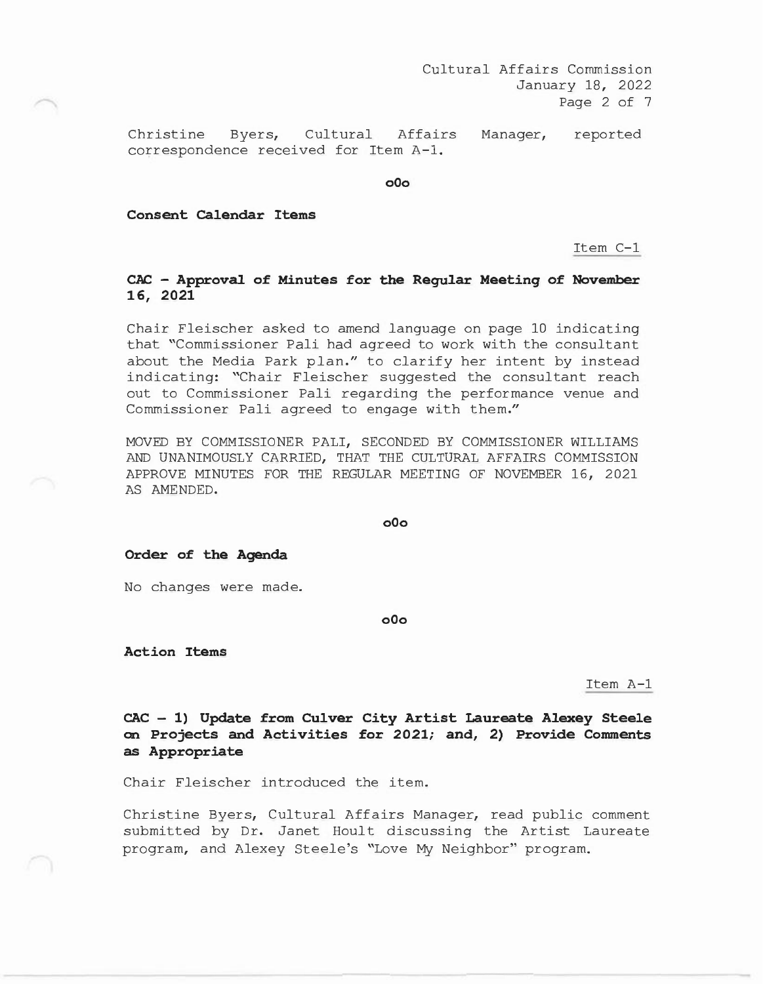Christine Byers, Cultural correspondence received for Item A-1. Affairs Manager, reported

**o0o** 

**Consent Calendar Items** 

Item C-1

# **CAC - Approval of Minutes for the Regular Meeting of November 16, 2021**

Chair Fleischer asked to amend language on page 10 indicating that "Commissioner Pali had agreed to work with the consultant about the Media Park plan." to clarify her intent by instead indicating: "Chair Fleischer suggested the consultant reach out to Commissioner Pali regarding the performance venue and Commissioner Pali agreed to engage with them."

MOVED BY COMMISSIONER PALI, SECONDED BY COMMISSIONER WILLIAMS AND UNANIMOUSLY CARRIED, THAT THE CULTURAL AFFAIRS COMMISSION APPROVE MINUTES FOR THE REGULAR MEETING OF NOVEMBER 16, 2021 AS AMENDED.

**o0o** 

**Order of the Agenda** 

No changes were made.

**o0o** 

**Action Items** 

Item A-1

**CAC - 1) Update from Culver City Artist Laureate Alexey Steele on Projects and Activities for 2021; and, 2) Provide Comments as Appropriate** 

Chair Fleischer introduced the item.

Christine Byers, Cultural Affairs Manager, read public comment submitted by Dr. Janet Hoult discussing the Artist Laureate program, and Alexey Steele's "Love My Neighbor" program.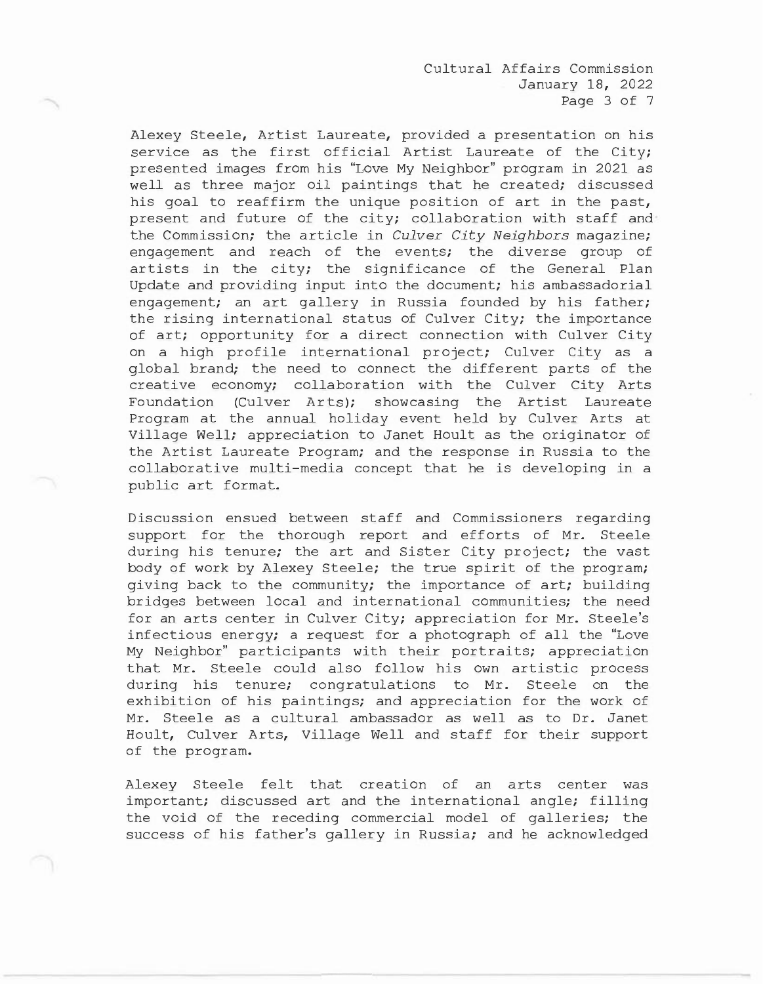Cultural Affairs Commission January 18, 2022 Page 3 of 7

Alexey Steele, Artist Laureate, provided a presentation on his service as the first official Artist Laureate of the City; presented images from his "Love My Neighbor" program in 2021 as well as three major oil paintings that he created; discussed his goal to reaffirm the unique position of art in the past, present and future of the city; collaboration with staff and the Commission; the article in *Culver City Neighbors* magazine; engagement and reach of the events; the diverse group of artists in the city; the significance of the General Plan Update and providing input into the document; his ambassadorial engagement; an art gallery in Russia founded by his father; the rising international status of Culver City; the importance of art; opportunity for a direct connection with Culver City on a high profile international project; Culver City as a global brand; the need to connect the different parts of the creative economy; collaboration with the Culver City Arts Foundation (Culver Arts); showcasing the Artist Laureate Program at the annual holiday event held by Culver Arts at Village Well; appreciation to Janet Hoult as the originator of the Artist Laureate Program; and the response in Russia to the collaborative multi-media concept that he is developing in a public art format.

Discussion ensued between staff and Commissioners regarding support for the thorough report and efforts of Mr. Steele during his tenure; the art and Sister City project; the vast body of work by Alexey Steele; the true spirit of the program; giving back to the community; the importance of art; building bridges between local and international communities; the need for an arts center in Culver City; appreciation for Mr. Steele's infectious energy; a request for a photograph of all the "Love My Neighbor" participants with their portraits; appreciation that Mr. Steele could also follow his own artistic process during his tenure; congratulations to Mr. Steele on the exhibition of his paintings; and appreciation for the work of Mr. Steele as a cultural ambassador as well as to Dr. Janet Hoult, Culver Arts, Village Well and staff for their support of the program.

Alexey Steele felt that creation of an arts center was important; discussed art and the international angle; filling the void of the receding commercial model of galleries; the success of his father's gallery in Russia; and he acknowledged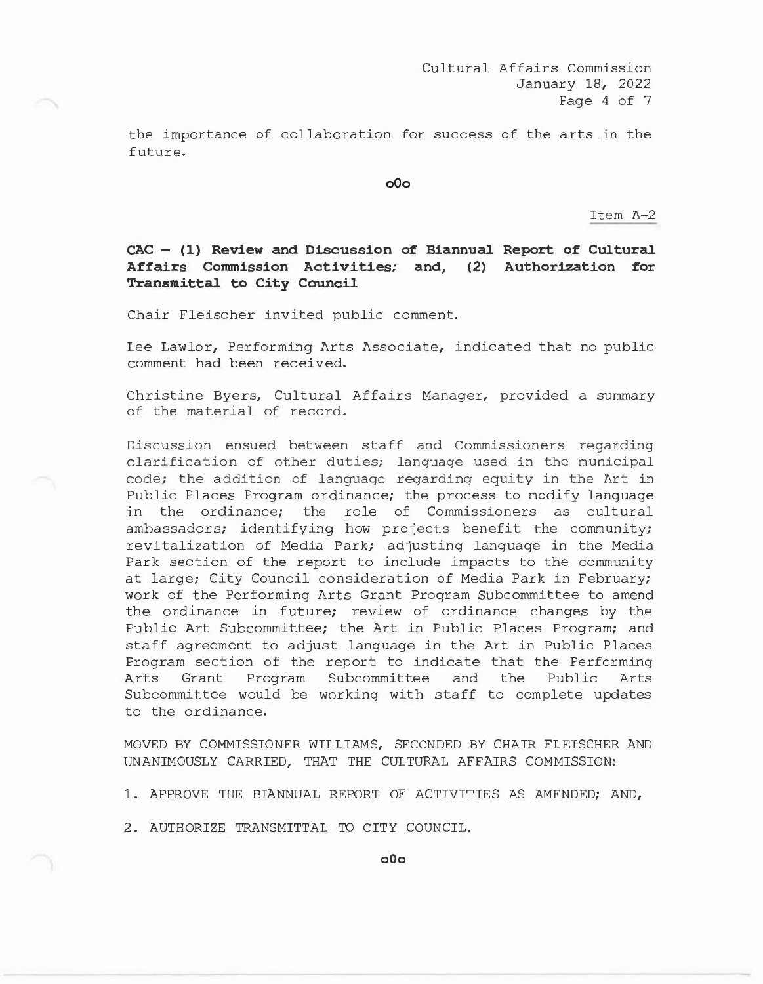the importance of collaboration for success of the arts in the future.

**oOo** 

Item A-2

**CAC - (1) Review and Discussion of Biannual Report of Cultural Affairs Commission Activities; and, (2) Authorization for Transmittal to City Council** 

Chair Fleischer invited public comment.

Lee Lawlor, Performing Arts Associate, indicated that no public comment had been received.

Christine Byers, Cultural Affairs Manager, provided a summary of the material of record.

Discussion ensued between staff and Commissioners regarding clarification of other duties; language used in the municipal code; the addition of language regarding equity in the Art in Public Places Program ordinance; the process to modify language in the ordinance; the role of Commissioners as cultural ambassadors; identifying how projects benefit the community; revitalization of Media Park; adjusting language in the Media Park section of the report to include impacts to the community at large; City Council consideration of Media Park in February; work of the Performing Arts Grant Program Subcommittee to amend the ordinance in future; review of ordinance changes by the Public Art Subcommittee; the Art in Public Places Program; and staff agreement to adjust language in the Art in Public Places Program section of the report to indicate that the Performing Arts Grant Program Subcommittee and the Public Arts Subcommittee would be working with staff to complete updates to the ordinance.

MOVED BY COMMISSIONER WILLIAMS, SECONDED BY CHAIR FLEISCHER AND UNANIMOUSLY CARRIED, THAT THE CULTURAL AFFAIRS COMMISSION:

1. APPROVE THE BIANNUAL REPORT OF ACTIVITIES AS AMENDED; AND,

2. AUTHORIZE TRANSMITTAL TO CITY COUNCIL.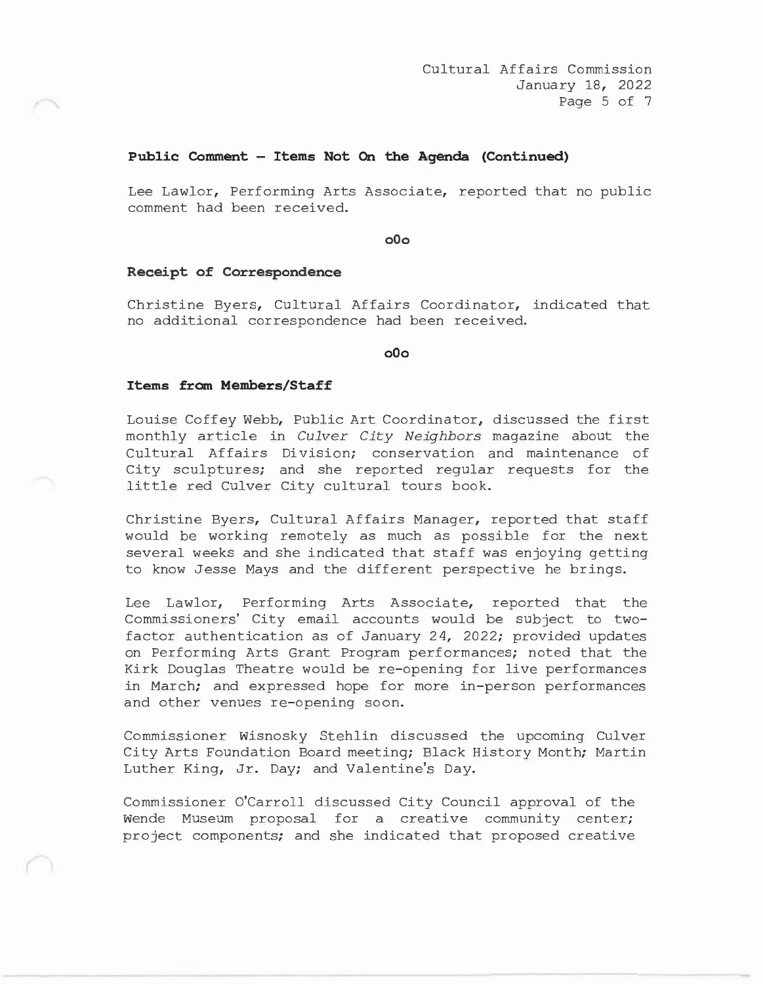## **Public Comment - Items Not On the Agenda (Continued)**

Lee Lawlor, Performing Arts Associate, reported that no public comment had been received.

**o0o** 

### **Receipt of Correspondence**

Christine Byers, Cultural Affairs Coordinator, indicated that no additional correspondence had been received.

**o0o** 

#### **Items from Members/Staff**

Louise Coffey Webb, Public Art Coordinator, discussed the first monthly article in *Culver City Neighbors* magazine about the Cultural Affairs Division; conservation and maintenance of City sculptures; and she reported regular requests for the little red Culver City cultural tours book.

Christine Byers, Cultural Affairs Manager, reported that staff would be working remotely as much as possible for the next several weeks and she indicated that staff was enjoying getting to know Jesse Mays and the different perspective he brings.

Lee Lawlor, Performing Arts Associate, reported that the Commissioners' City email accounts would be subject to twofactor authentication as of January 24, 2022; provided updates on Performing Arts Grant Program performances; noted that the Kirk Douglas Theatre would be re-opening for live performances in March; and expressed hope for more in-person performances and other venues re-opening soon.

Commissioner Wisnosky Stehlin discussed the upcoming Culver City Arts Foundation Board meeting; Black History Month; Martin Luther King, Jr. Day; and Valentine's Day.

Commissioner O'Carroll discussed City Council approval of the Wende Museum proposal for a creative community center; project components; and she indicated that proposed creative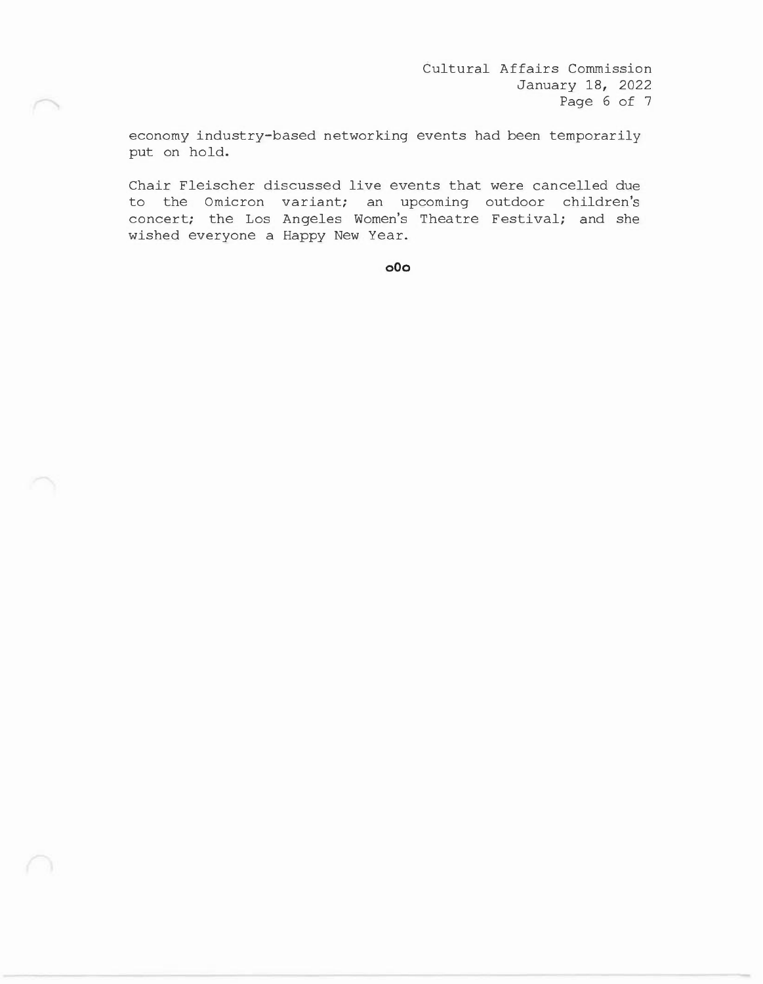Cultural Affairs Commission January 18, 2022 Page 6 of 7

economy industry-based networking events had been temporarily put on hold.

Chair Fleischer discussed live events that were cancelled due to the Omicron variant; an upcoming outdoor children's concert; the Los Angeles Women's Theatre Festival; and she wished everyone a Happy New Year.

**oOo**